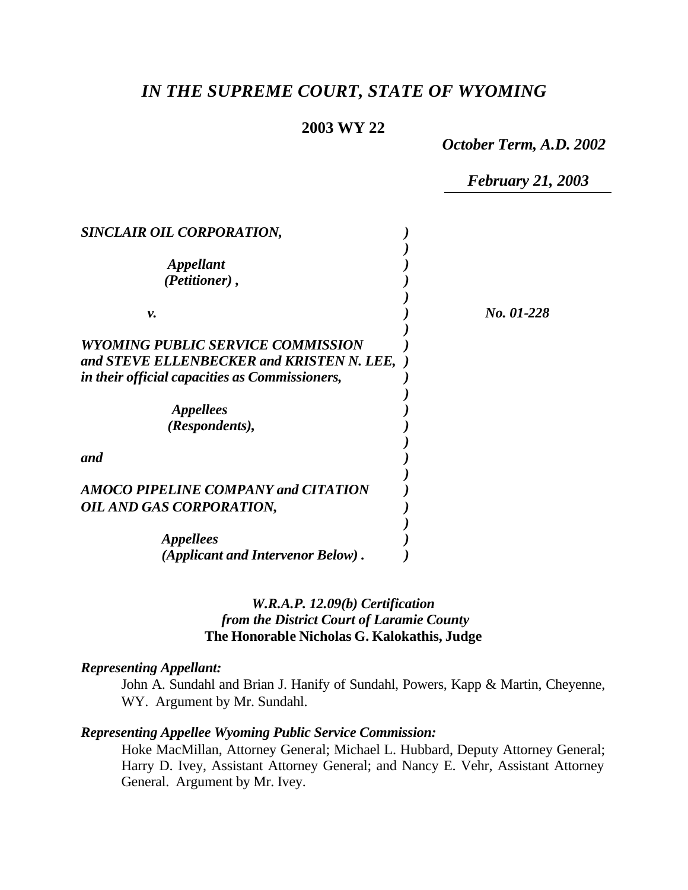# *IN THE SUPREME COURT, STATE OF WYOMING*

### **2003 WY 22**

*October Term, A.D. 2002*

*February 21, 2003*

| SINCLAIR OIL CORPORATION,                                                                                                        |            |
|----------------------------------------------------------------------------------------------------------------------------------|------------|
| <i><b>Appellant</b></i><br>(Petitioner),                                                                                         |            |
| ν.                                                                                                                               | No. 01-228 |
| WYOMING PUBLIC SERVICE COMMISSION<br>and STEVE ELLENBECKER and KRISTEN N. LEE,<br>in their official capacities as Commissioners, |            |
| <i>Appellees</i><br>(Respondents),                                                                                               |            |
| and                                                                                                                              |            |
| <b>AMOCO PIPELINE COMPANY and CITATION</b><br><b>OIL AND GAS CORPORATION,</b>                                                    |            |
| <i>Appellees</i><br>(Applicant and Intervenor Below).                                                                            |            |

#### *W.R.A.P. 12.09(b) Certification from the District Court of Laramie County* **The Honorable Nicholas G. Kalokathis, Judge**

#### *Representing Appellant:*

John A. Sundahl and Brian J. Hanify of Sundahl, Powers, Kapp & Martin, Cheyenne, WY. Argument by Mr. Sundahl.

#### *Representing Appellee Wyoming Public Service Commission:*

Hoke MacMillan, Attorney General; Michael L. Hubbard, Deputy Attorney General; Harry D. Ivey, Assistant Attorney General; and Nancy E. Vehr, Assistant Attorney General. Argument by Mr. Ivey.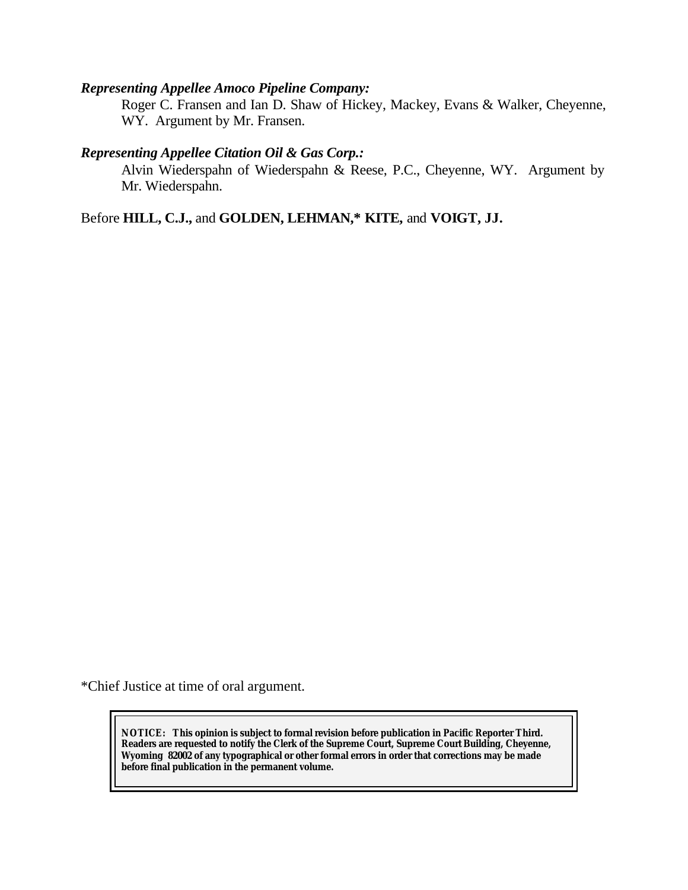## *Representing Appellee Amoco Pipeline Company:*

Roger C. Fransen and Ian D. Shaw of Hickey, Mackey, Evans & Walker, Cheyenne, WY. Argument by Mr. Fransen.

#### *Representing Appellee Citation Oil & Gas Corp.:*

Alvin Wiederspahn of Wiederspahn & Reese, P.C., Cheyenne, WY. Argument by Mr. Wiederspahn.

Before **HILL, C.J.,** and **GOLDEN, LEHMAN,\* KITE,** and **VOIGT, JJ.**

\*Chief Justice at time of oral argument.

**NOTICE:** *This opinion is subject to formal revision before publication in Pacific Reporter Third. Readers are requested to notify the Clerk of the Supreme Court, Supreme Court Building, Cheyenne, Wyoming 82002 of any typographical or other formal errors in order that corrections may be made before final publication in the permanent volume.*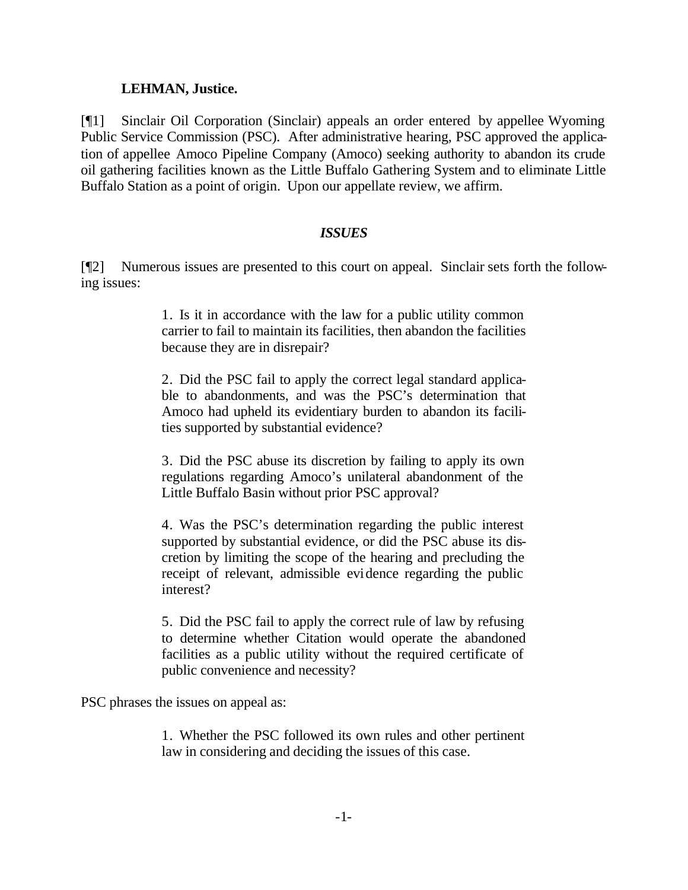#### **LEHMAN, Justice.**

[¶1] Sinclair Oil Corporation (Sinclair) appeals an order entered by appellee Wyoming Public Service Commission (PSC). After administrative hearing, PSC approved the application of appellee Amoco Pipeline Company (Amoco) seeking authority to abandon its crude oil gathering facilities known as the Little Buffalo Gathering System and to eliminate Little Buffalo Station as a point of origin. Upon our appellate review, we affirm.

### *ISSUES*

[¶2] Numerous issues are presented to this court on appeal. Sinclair sets forth the following issues:

> 1. Is it in accordance with the law for a public utility common carrier to fail to maintain its facilities, then abandon the facilities because they are in disrepair?

> 2. Did the PSC fail to apply the correct legal standard applicable to abandonments, and was the PSC's determination that Amoco had upheld its evidentiary burden to abandon its facilities supported by substantial evidence?

> 3. Did the PSC abuse its discretion by failing to apply its own regulations regarding Amoco's unilateral abandonment of the Little Buffalo Basin without prior PSC approval?

> 4. Was the PSC's determination regarding the public interest supported by substantial evidence, or did the PSC abuse its discretion by limiting the scope of the hearing and precluding the receipt of relevant, admissible evidence regarding the public interest?

> 5. Did the PSC fail to apply the correct rule of law by refusing to determine whether Citation would operate the abandoned facilities as a public utility without the required certificate of public convenience and necessity?

PSC phrases the issues on appeal as:

1. Whether the PSC followed its own rules and other pertinent law in considering and deciding the issues of this case.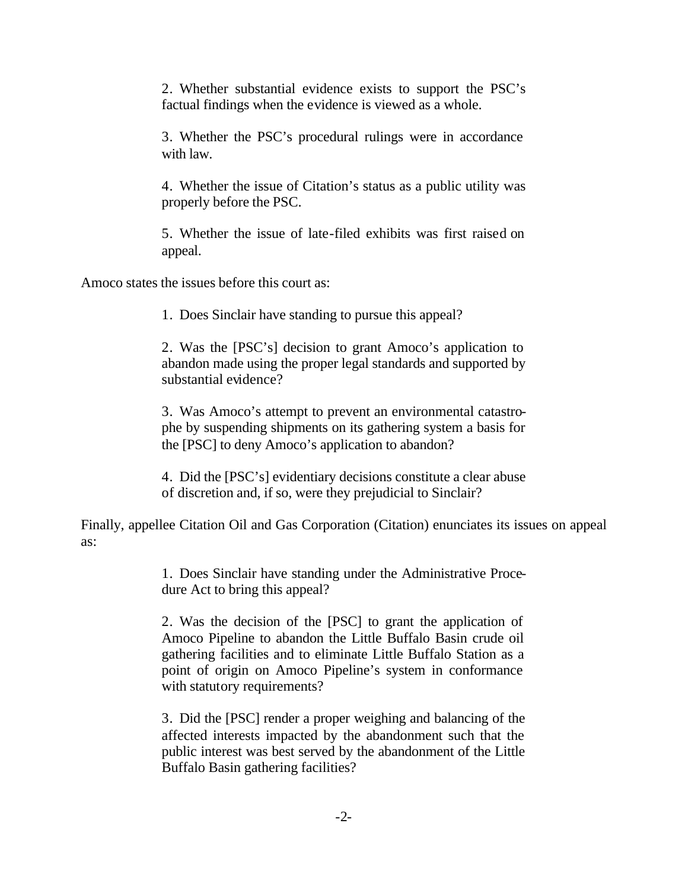2. Whether substantial evidence exists to support the PSC's factual findings when the evidence is viewed as a whole.

3. Whether the PSC's procedural rulings were in accordance with law.

4. Whether the issue of Citation's status as a public utility was properly before the PSC.

5. Whether the issue of late-filed exhibits was first raised on appeal.

Amoco states the issues before this court as:

1. Does Sinclair have standing to pursue this appeal?

2. Was the [PSC's] decision to grant Amoco's application to abandon made using the proper legal standards and supported by substantial evidence?

3. Was Amoco's attempt to prevent an environmental catastrophe by suspending shipments on its gathering system a basis for the [PSC] to deny Amoco's application to abandon?

4. Did the [PSC's] evidentiary decisions constitute a clear abuse of discretion and, if so, were they prejudicial to Sinclair?

Finally, appellee Citation Oil and Gas Corporation (Citation) enunciates its issues on appeal as:

> 1. Does Sinclair have standing under the Administrative Procedure Act to bring this appeal?

> 2. Was the decision of the [PSC] to grant the application of Amoco Pipeline to abandon the Little Buffalo Basin crude oil gathering facilities and to eliminate Little Buffalo Station as a point of origin on Amoco Pipeline's system in conformance with statutory requirements?

> 3. Did the [PSC] render a proper weighing and balancing of the affected interests impacted by the abandonment such that the public interest was best served by the abandonment of the Little Buffalo Basin gathering facilities?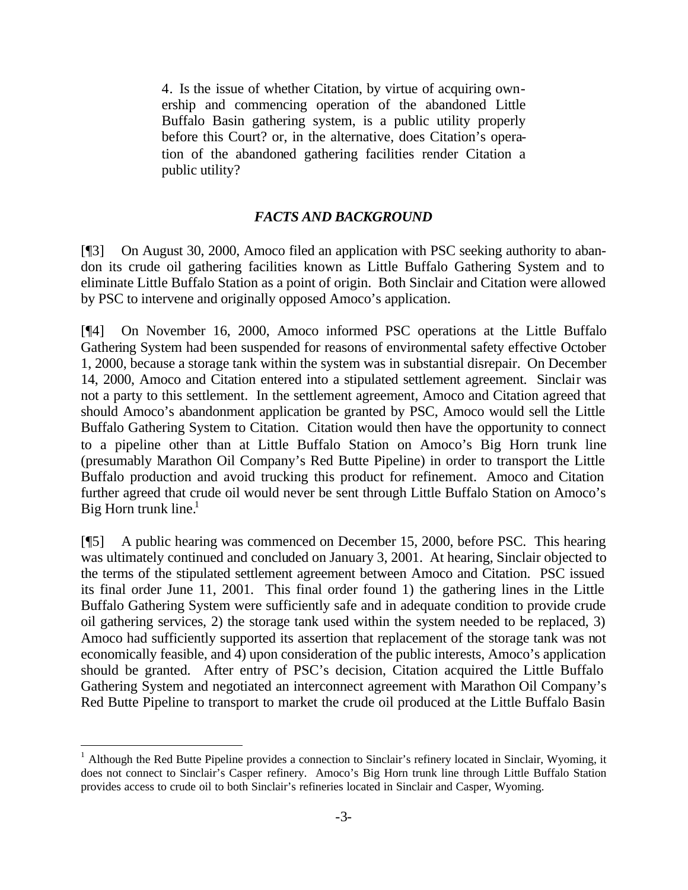4. Is the issue of whether Citation, by virtue of acquiring ownership and commencing operation of the abandoned Little Buffalo Basin gathering system, is a public utility properly before this Court? or, in the alternative, does Citation's operation of the abandoned gathering facilities render Citation a public utility?

#### *FACTS AND BACKGROUND*

[¶3] On August 30, 2000, Amoco filed an application with PSC seeking authority to abandon its crude oil gathering facilities known as Little Buffalo Gathering System and to eliminate Little Buffalo Station as a point of origin. Both Sinclair and Citation were allowed by PSC to intervene and originally opposed Amoco's application.

[¶4] On November 16, 2000, Amoco informed PSC operations at the Little Buffalo Gathering System had been suspended for reasons of environmental safety effective October 1, 2000, because a storage tank within the system was in substantial disrepair. On December 14, 2000, Amoco and Citation entered into a stipulated settlement agreement. Sinclair was not a party to this settlement. In the settlement agreement, Amoco and Citation agreed that should Amoco's abandonment application be granted by PSC, Amoco would sell the Little Buffalo Gathering System to Citation. Citation would then have the opportunity to connect to a pipeline other than at Little Buffalo Station on Amoco's Big Horn trunk line (presumably Marathon Oil Company's Red Butte Pipeline) in order to transport the Little Buffalo production and avoid trucking this product for refinement. Amoco and Citation further agreed that crude oil would never be sent through Little Buffalo Station on Amoco's Big Horn trunk line. $<sup>1</sup>$ </sup>

[¶5] A public hearing was commenced on December 15, 2000, before PSC. This hearing was ultimately continued and concluded on January 3, 2001. At hearing, Sinclair objected to the terms of the stipulated settlement agreement between Amoco and Citation. PSC issued its final order June 11, 2001. This final order found 1) the gathering lines in the Little Buffalo Gathering System were sufficiently safe and in adequate condition to provide crude oil gathering services, 2) the storage tank used within the system needed to be replaced, 3) Amoco had sufficiently supported its assertion that replacement of the storage tank was not economically feasible, and 4) upon consideration of the public interests, Amoco's application should be granted. After entry of PSC's decision, Citation acquired the Little Buffalo Gathering System and negotiated an interconnect agreement with Marathon Oil Company's Red Butte Pipeline to transport to market the crude oil produced at the Little Buffalo Basin

l

<sup>&</sup>lt;sup>1</sup> Although the Red Butte Pipeline provides a connection to Sinclair's refinery located in Sinclair, Wyoming, it does not connect to Sinclair's Casper refinery. Amoco's Big Horn trunk line through Little Buffalo Station provides access to crude oil to both Sinclair's refineries located in Sinclair and Casper, Wyoming.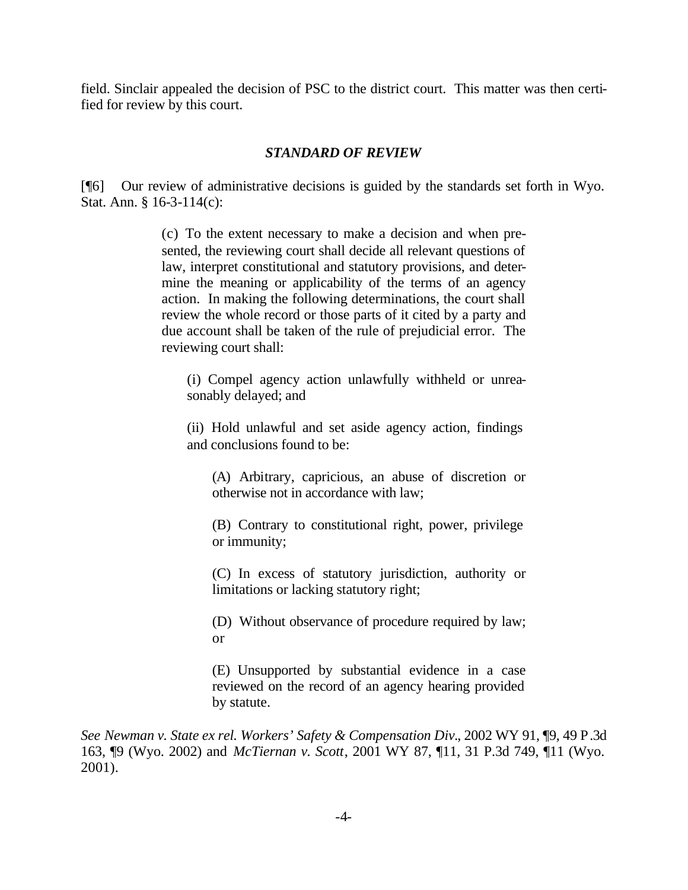field. Sinclair appealed the decision of PSC to the district court. This matter was then certified for review by this court.

#### *STANDARD OF REVIEW*

[¶6] Our review of administrative decisions is guided by the standards set forth in Wyo. Stat. Ann. § 16-3-114(c):

> (c) To the extent necessary to make a decision and when presented, the reviewing court shall decide all relevant questions of law, interpret constitutional and statutory provisions, and determine the meaning or applicability of the terms of an agency action. In making the following determinations, the court shall review the whole record or those parts of it cited by a party and due account shall be taken of the rule of prejudicial error. The reviewing court shall:

(i) Compel agency action unlawfully withheld or unreasonably delayed; and

(ii) Hold unlawful and set aside agency action, findings and conclusions found to be:

(A) Arbitrary, capricious, an abuse of discretion or otherwise not in accordance with law;

(B) Contrary to constitutional right, power, privilege or immunity;

(C) In excess of statutory jurisdiction, authority or limitations or lacking statutory right;

(D) Without observance of procedure required by law; or

(E) Unsupported by substantial evidence in a case reviewed on the record of an agency hearing provided by statute.

*See Newman v. State ex rel. Workers' Safety & Compensation Div.*, 2002 WY 91, ¶9, 49 P.3d 163, ¶9 (Wyo. 2002) and *McTiernan v. Scott*, 2001 WY 87, ¶11, 31 P.3d 749, ¶11 (Wyo. 2001).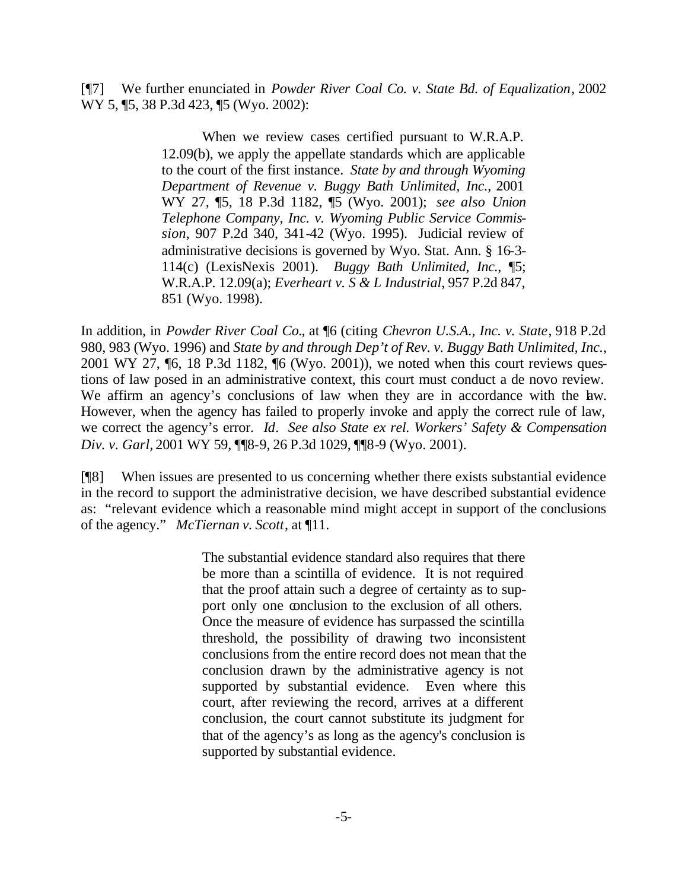[¶7] We further enunciated in *Powder River Coal Co. v. State Bd. of Equalization*, 2002 WY 5, **15**, 38 P.3d 423, **15** (Wyo. 2002):

> When we review cases certified pursuant to W.R.A.P. 12.09(b), we apply the appellate standards which are applicable to the court of the first instance. *State by and through Wyoming Department of Revenue v. Buggy Bath Unlimited, Inc.*, 2001 WY 27, ¶5, 18 P.3d 1182, ¶5 (Wyo. 2001); *see also Union Telephone Company, Inc. v. Wyoming Public Service Commission*, 907 P.2d 340, 341-42 (Wyo. 1995). Judicial review of administrative decisions is governed by Wyo. Stat. Ann. § 16-3- 114(c) (LexisNexis 2001). *Buggy Bath Unlimited, Inc.*, ¶5; W.R.A.P. 12.09(a); *Everheart v. S & L Industrial*, 957 P.2d 847, 851 (Wyo. 1998).

In addition, in *Powder River Coal Co.*, at ¶6 (citing *Chevron U.S.A., Inc. v. State*, 918 P.2d 980, 983 (Wyo. 1996) and *State by and through Dep't of Rev. v. Buggy Bath Unlimited, Inc.*, 2001 WY 27, ¶6, 18 P.3d 1182, ¶6 (Wyo. 2001)), we noted when this court reviews questions of law posed in an administrative context, this court must conduct a de novo review. We affirm an agency's conclusions of law when they are in accordance with the law. However, when the agency has failed to properly invoke and apply the correct rule of law, we correct the agency's error. *Id*. *See also State ex rel. Workers' Safety & Compensation Div. v. Garl,* 2001 WY 59, ¶¶8-9, 26 P.3d 1029, ¶¶8-9 (Wyo. 2001).

[¶8] When issues are presented to us concerning whether there exists substantial evidence in the record to support the administrative decision, we have described substantial evidence as: "relevant evidence which a reasonable mind might accept in support of the conclusions of the agency." *McTiernan v. Scott*, at ¶11.

> The substantial evidence standard also requires that there be more than a scintilla of evidence. It is not required that the proof attain such a degree of certainty as to support only one conclusion to the exclusion of all others. Once the measure of evidence has surpassed the scintilla threshold, the possibility of drawing two inconsistent conclusions from the entire record does not mean that the conclusion drawn by the administrative agency is not supported by substantial evidence. Even where this court, after reviewing the record, arrives at a different conclusion, the court cannot substitute its judgment for that of the agency's as long as the agency's conclusion is supported by substantial evidence.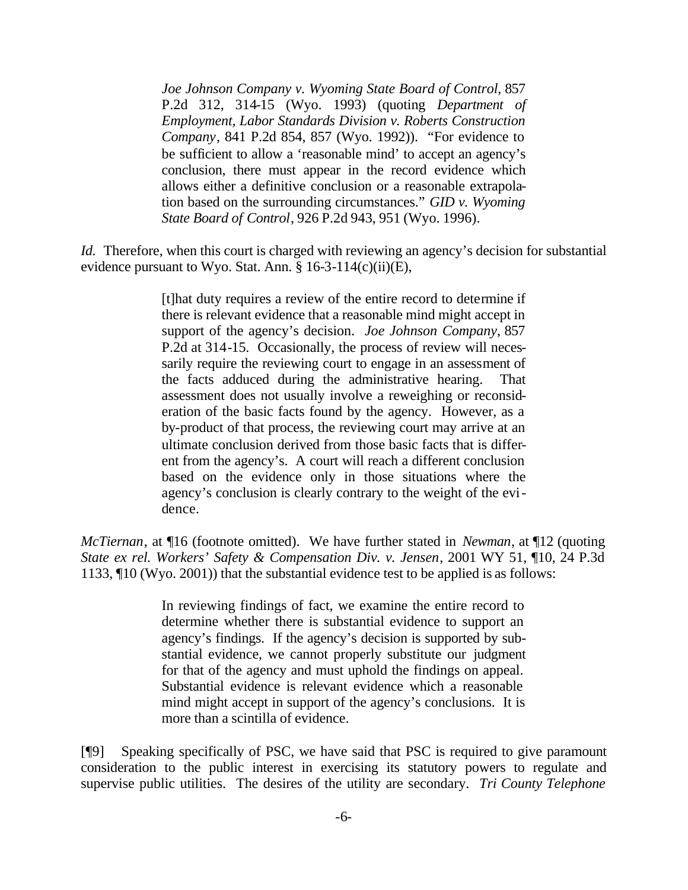*Joe Johnson Company v. Wyoming State Board of Control*, 857 P.2d 312, 314-15 (Wyo. 1993) (quoting *Department of Employment, Labor Standards Division v. Roberts Construction Company*, 841 P.2d 854, 857 (Wyo. 1992)). "For evidence to be sufficient to allow a 'reasonable mind' to accept an agency's conclusion, there must appear in the record evidence which allows either a definitive conclusion or a reasonable extrapolation based on the surrounding circumstances." *GID v. Wyoming State Board of Control*, 926 P.2d 943, 951 (Wyo. 1996).

*Id.* Therefore, when this court is charged with reviewing an agency's decision for substantial evidence pursuant to Wyo. Stat. Ann.  $\S 16-3-114(c)(ii)(E)$ ,

> [t]hat duty requires a review of the entire record to determine if there is relevant evidence that a reasonable mind might accept in support of the agency's decision. *Joe Johnson Company*, 857 P.2d at 314-15. Occasionally, the process of review will necessarily require the reviewing court to engage in an assessment of the facts adduced during the administrative hearing. That assessment does not usually involve a reweighing or reconsideration of the basic facts found by the agency. However, as a by-product of that process, the reviewing court may arrive at an ultimate conclusion derived from those basic facts that is different from the agency's. A court will reach a different conclusion based on the evidence only in those situations where the agency's conclusion is clearly contrary to the weight of the evidence.

*McTiernan*, at ¶16 (footnote omitted). We have further stated in *Newman*, at ¶12 (quoting *State ex rel. Workers' Safety & Compensation Div. v. Jensen*, 2001 WY 51, ¶10, 24 P.3d 1133, ¶10 (Wyo. 2001)) that the substantial evidence test to be applied is as follows:

> In reviewing findings of fact, we examine the entire record to determine whether there is substantial evidence to support an agency's findings. If the agency's decision is supported by substantial evidence, we cannot properly substitute our judgment for that of the agency and must uphold the findings on appeal. Substantial evidence is relevant evidence which a reasonable mind might accept in support of the agency's conclusions. It is more than a scintilla of evidence.

[¶9] Speaking specifically of PSC, we have said that PSC is required to give paramount consideration to the public interest in exercising its statutory powers to regulate and supervise public utilities. The desires of the utility are secondary. *Tri County Telephone*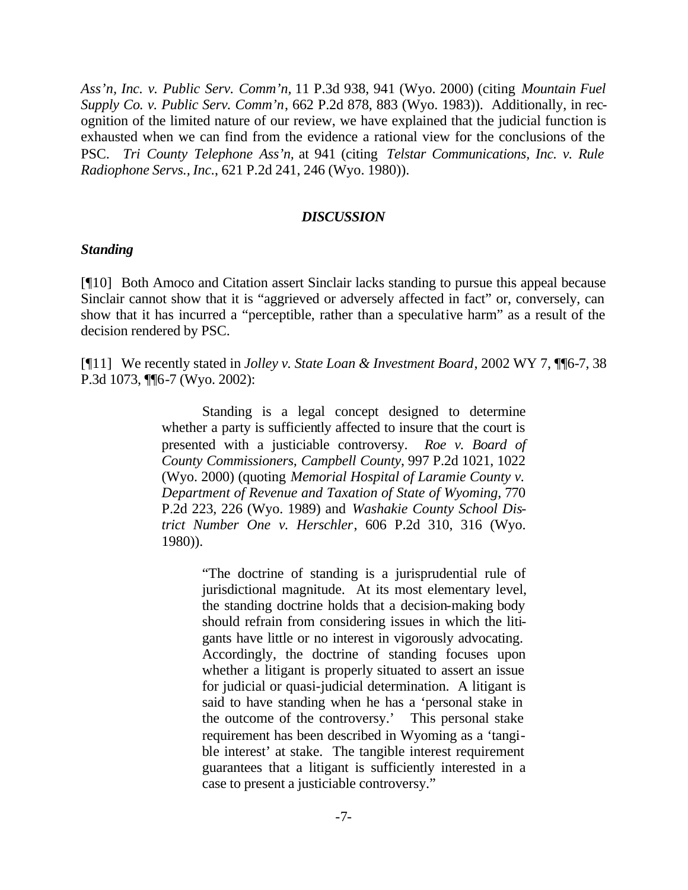*Ass'n, Inc. v. Public Serv. Comm'n,* 11 P.3d 938, 941 (Wyo. 2000) (citing *Mountain Fuel Supply Co. v. Public Serv. Comm'n*, 662 P.2d 878, 883 (Wyo. 1983)). Additionally, in recognition of the limited nature of our review, we have explained that the judicial function is exhausted when we can find from the evidence a rational view for the conclusions of the PSC. *Tri County Telephone Ass'n,* at 941 (citing *Telstar Communications, Inc. v. Rule Radiophone Servs., Inc.*, 621 P.2d 241, 246 (Wyo. 1980)).

#### *DISCUSSION*

#### *Standing*

[¶10] Both Amoco and Citation assert Sinclair lacks standing to pursue this appeal because Sinclair cannot show that it is "aggrieved or adversely affected in fact" or, conversely, can show that it has incurred a "perceptible, rather than a speculative harm" as a result of the decision rendered by PSC.

[¶11] We recently stated in *Jolley v. State Loan & Investment Board*, 2002 WY 7, ¶¶6-7, 38 P.3d 1073, ¶¶6-7 (Wyo. 2002):

> Standing is a legal concept designed to determine whether a party is sufficiently affected to insure that the court is presented with a justiciable controversy. *Roe v. Board of County Commissioners, Campbell County*, 997 P.2d 1021, 1022 (Wyo. 2000) (quoting *Memorial Hospital of Laramie County v. Department of Revenue and Taxation of State of Wyoming*, 770 P.2d 223, 226 (Wyo. 1989) and *Washakie County School District Number One v. Herschler*, 606 P.2d 310, 316 (Wyo. 1980)).

> > "The doctrine of standing is a jurisprudential rule of jurisdictional magnitude. At its most elementary level, the standing doctrine holds that a decision-making body should refrain from considering issues in which the litigants have little or no interest in vigorously advocating. Accordingly, the doctrine of standing focuses upon whether a litigant is properly situated to assert an issue for judicial or quasi-judicial determination. A litigant is said to have standing when he has a 'personal stake in the outcome of the controversy.' This personal stake requirement has been described in Wyoming as a 'tangible interest' at stake. The tangible interest requirement guarantees that a litigant is sufficiently interested in a case to present a justiciable controversy."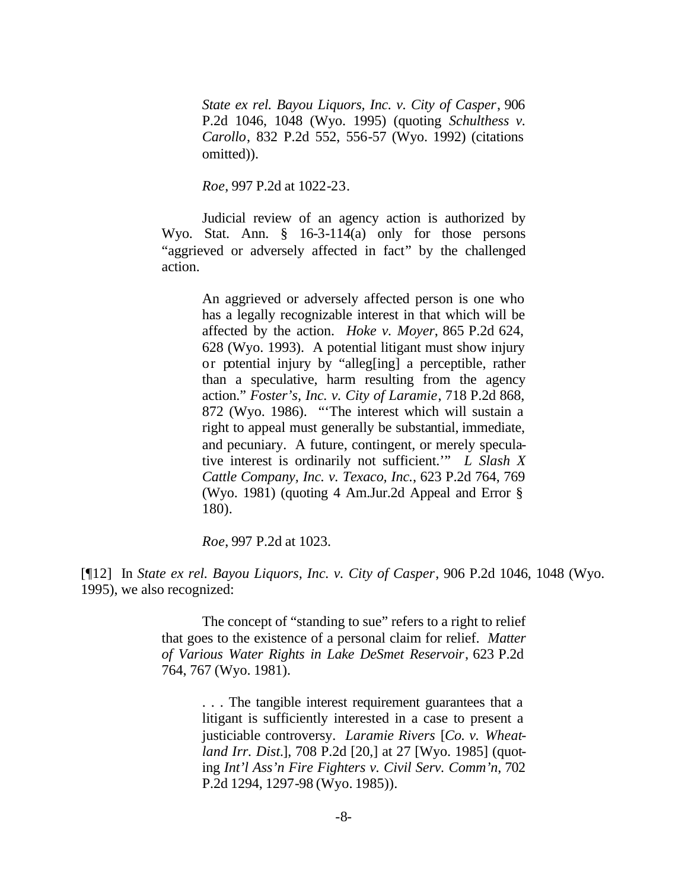*State ex rel. Bayou Liquors, Inc. v. City of Casper*, 906 P.2d 1046, 1048 (Wyo. 1995) (quoting *Schulthess v. Carollo*, 832 P.2d 552, 556-57 (Wyo. 1992) (citations omitted)).

*Roe*, 997 P.2d at 1022-23.

Judicial review of an agency action is authorized by Wyo. Stat. Ann. § 16-3-114(a) only for those persons "aggrieved or adversely affected in fact" by the challenged action.

> An aggrieved or adversely affected person is one who has a legally recognizable interest in that which will be affected by the action. *Hoke v. Moyer*, 865 P.2d 624, 628 (Wyo. 1993). A potential litigant must show injury or potential injury by "alleg[ing] a perceptible, rather than a speculative, harm resulting from the agency action." *Foster's, Inc. v. City of Laramie*, 718 P.2d 868, 872 (Wyo. 1986). "'The interest which will sustain a right to appeal must generally be substantial, immediate, and pecuniary. A future, contingent, or merely speculative interest is ordinarily not sufficient.'" *L Slash X Cattle Company, Inc. v. Texaco, Inc.*, 623 P.2d 764, 769 (Wyo. 1981) (quoting 4 Am.Jur.2d Appeal and Error § 180).

*Roe*, 997 P.2d at 1023.

[¶12] In *State ex rel. Bayou Liquors, Inc. v. City of Casper*, 906 P.2d 1046, 1048 (Wyo. 1995), we also recognized:

> The concept of "standing to sue" refers to a right to relief that goes to the existence of a personal claim for relief. *Matter of Various Water Rights in Lake DeSmet Reservoir*, 623 P.2d 764, 767 (Wyo. 1981).

> > . . . The tangible interest requirement guarantees that a litigant is sufficiently interested in a case to present a justiciable controversy. *Laramie Rivers* [*Co. v. Wheatland Irr. Dist.*], 708 P.2d [20,] at 27 [Wyo. 1985] (quoting *Int'l Ass'n Fire Fighters v. Civil Serv. Comm'n*, 702 P.2d 1294, 1297-98 (Wyo. 1985)).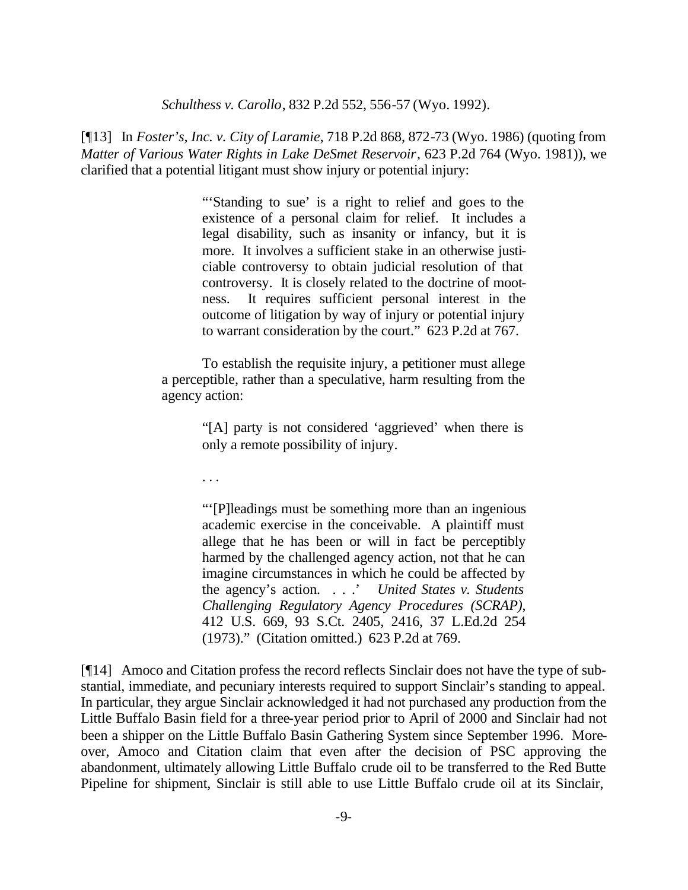*Schulthess v. Carollo*, 832 P.2d 552, 556-57 (Wyo. 1992).

[¶13] In *Foster's, Inc. v. City of Laramie*, 718 P.2d 868, 872-73 (Wyo. 1986) (quoting from *Matter of Various Water Rights in Lake DeSmet Reservoir*, 623 P.2d 764 (Wyo. 1981)), we clarified that a potential litigant must show injury or potential injury:

> "'Standing to sue' is a right to relief and goes to the existence of a personal claim for relief. It includes a legal disability, such as insanity or infancy, but it is more. It involves a sufficient stake in an otherwise justiciable controversy to obtain judicial resolution of that controversy. It is closely related to the doctrine of mootness. It requires sufficient personal interest in the outcome of litigation by way of injury or potential injury to warrant consideration by the court." 623 P.2d at 767.

To establish the requisite injury, a petitioner must allege a perceptible, rather than a speculative, harm resulting from the agency action:

> "[A] party is not considered 'aggrieved' when there is only a remote possibility of injury.

. . .

"'[P]leadings must be something more than an ingenious academic exercise in the conceivable. A plaintiff must allege that he has been or will in fact be perceptibly harmed by the challenged agency action, not that he can imagine circumstances in which he could be affected by the agency's action. . . .' *United States v. Students Challenging Regulatory Agency Procedures (SCRAP)*, 412 U.S. 669, 93 S.Ct. 2405, 2416, 37 L.Ed.2d 254 (1973)." (Citation omitted.) 623 P.2d at 769.

[¶14] Amoco and Citation profess the record reflects Sinclair does not have the type of substantial, immediate, and pecuniary interests required to support Sinclair's standing to appeal. In particular, they argue Sinclair acknowledged it had not purchased any production from the Little Buffalo Basin field for a three-year period prior to April of 2000 and Sinclair had not been a shipper on the Little Buffalo Basin Gathering System since September 1996. Moreover, Amoco and Citation claim that even after the decision of PSC approving the abandonment, ultimately allowing Little Buffalo crude oil to be transferred to the Red Butte Pipeline for shipment, Sinclair is still able to use Little Buffalo crude oil at its Sinclair,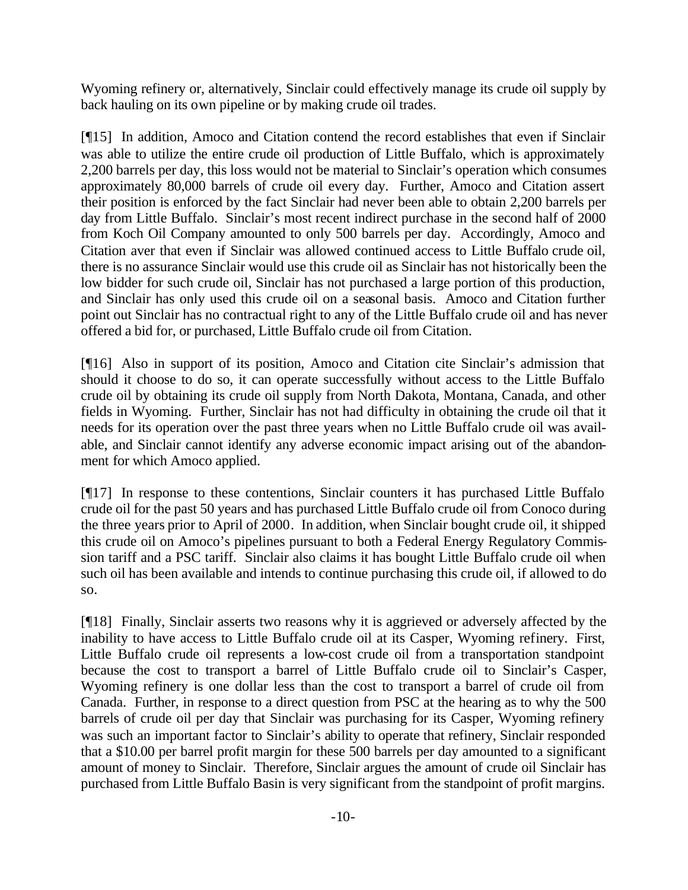Wyoming refinery or, alternatively, Sinclair could effectively manage its crude oil supply by back hauling on its own pipeline or by making crude oil trades.

[¶15] In addition, Amoco and Citation contend the record establishes that even if Sinclair was able to utilize the entire crude oil production of Little Buffalo, which is approximately 2,200 barrels per day, this loss would not be material to Sinclair's operation which consumes approximately 80,000 barrels of crude oil every day. Further, Amoco and Citation assert their position is enforced by the fact Sinclair had never been able to obtain 2,200 barrels per day from Little Buffalo. Sinclair's most recent indirect purchase in the second half of 2000 from Koch Oil Company amounted to only 500 barrels per day. Accordingly, Amoco and Citation aver that even if Sinclair was allowed continued access to Little Buffalo crude oil, there is no assurance Sinclair would use this crude oil as Sinclair has not historically been the low bidder for such crude oil, Sinclair has not purchased a large portion of this production, and Sinclair has only used this crude oil on a seasonal basis. Amoco and Citation further point out Sinclair has no contractual right to any of the Little Buffalo crude oil and has never offered a bid for, or purchased, Little Buffalo crude oil from Citation.

[¶16] Also in support of its position, Amoco and Citation cite Sinclair's admission that should it choose to do so, it can operate successfully without access to the Little Buffalo crude oil by obtaining its crude oil supply from North Dakota, Montana, Canada, and other fields in Wyoming. Further, Sinclair has not had difficulty in obtaining the crude oil that it needs for its operation over the past three years when no Little Buffalo crude oil was available, and Sinclair cannot identify any adverse economic impact arising out of the abandonment for which Amoco applied.

[¶17] In response to these contentions, Sinclair counters it has purchased Little Buffalo crude oil for the past 50 years and has purchased Little Buffalo crude oil from Conoco during the three years prior to April of 2000. In addition, when Sinclair bought crude oil, it shipped this crude oil on Amoco's pipelines pursuant to both a Federal Energy Regulatory Commission tariff and a PSC tariff. Sinclair also claims it has bought Little Buffalo crude oil when such oil has been available and intends to continue purchasing this crude oil, if allowed to do so.

[¶18] Finally, Sinclair asserts two reasons why it is aggrieved or adversely affected by the inability to have access to Little Buffalo crude oil at its Casper, Wyoming refinery. First, Little Buffalo crude oil represents a low-cost crude oil from a transportation standpoint because the cost to transport a barrel of Little Buffalo crude oil to Sinclair's Casper, Wyoming refinery is one dollar less than the cost to transport a barrel of crude oil from Canada. Further, in response to a direct question from PSC at the hearing as to why the 500 barrels of crude oil per day that Sinclair was purchasing for its Casper, Wyoming refinery was such an important factor to Sinclair's ability to operate that refinery, Sinclair responded that a \$10.00 per barrel profit margin for these 500 barrels per day amounted to a significant amount of money to Sinclair. Therefore, Sinclair argues the amount of crude oil Sinclair has purchased from Little Buffalo Basin is very significant from the standpoint of profit margins.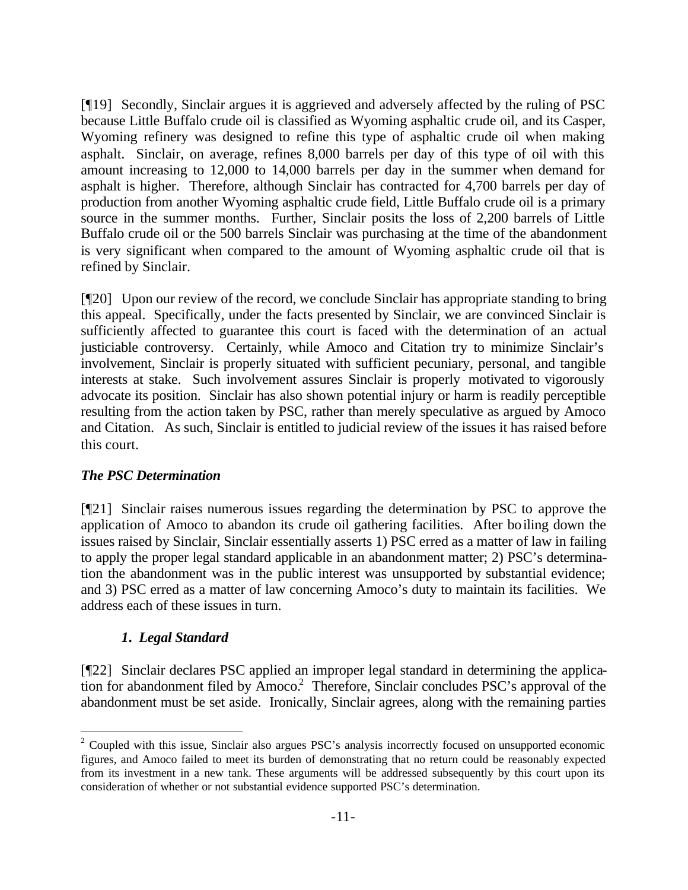[¶19] Secondly, Sinclair argues it is aggrieved and adversely affected by the ruling of PSC because Little Buffalo crude oil is classified as Wyoming asphaltic crude oil, and its Casper, Wyoming refinery was designed to refine this type of asphaltic crude oil when making asphalt. Sinclair, on average, refines 8,000 barrels per day of this type of oil with this amount increasing to 12,000 to 14,000 barrels per day in the summer when demand for asphalt is higher. Therefore, although Sinclair has contracted for 4,700 barrels per day of production from another Wyoming asphaltic crude field, Little Buffalo crude oil is a primary source in the summer months. Further, Sinclair posits the loss of 2,200 barrels of Little Buffalo crude oil or the 500 barrels Sinclair was purchasing at the time of the abandonment is very significant when compared to the amount of Wyoming asphaltic crude oil that is refined by Sinclair.

[¶20] Upon our review of the record, we conclude Sinclair has appropriate standing to bring this appeal. Specifically, under the facts presented by Sinclair, we are convinced Sinclair is sufficiently affected to guarantee this court is faced with the determination of an actual justiciable controversy. Certainly, while Amoco and Citation try to minimize Sinclair's involvement, Sinclair is properly situated with sufficient pecuniary, personal, and tangible interests at stake. Such involvement assures Sinclair is properly motivated to vigorously advocate its position. Sinclair has also shown potential injury or harm is readily perceptible resulting from the action taken by PSC, rather than merely speculative as argued by Amoco and Citation. As such, Sinclair is entitled to judicial review of the issues it has raised before this court.

#### *The PSC Determination*

[¶21] Sinclair raises numerous issues regarding the determination by PSC to approve the application of Amoco to abandon its crude oil gathering facilities. After boiling down the issues raised by Sinclair, Sinclair essentially asserts 1) PSC erred as a matter of law in failing to apply the proper legal standard applicable in an abandonment matter; 2) PSC's determination the abandonment was in the public interest was unsupported by substantial evidence; and 3) PSC erred as a matter of law concerning Amoco's duty to maintain its facilities. We address each of these issues in turn.

#### *1. Legal Standard*

[¶22] Sinclair declares PSC applied an improper legal standard in determining the application for abandonment filed by Amoco.<sup>2</sup> Therefore, Sinclair concludes PSC's approval of the abandonment must be set aside. Ironically, Sinclair agrees, along with the remaining parties

<sup>&</sup>lt;sup>2</sup> Coupled with this issue, Sinclair also argues PSC's analysis incorrectly focused on unsupported economic figures, and Amoco failed to meet its burden of demonstrating that no return could be reasonably expected from its investment in a new tank. These arguments will be addressed subsequently by this court upon its consideration of whether or not substantial evidence supported PSC's determination.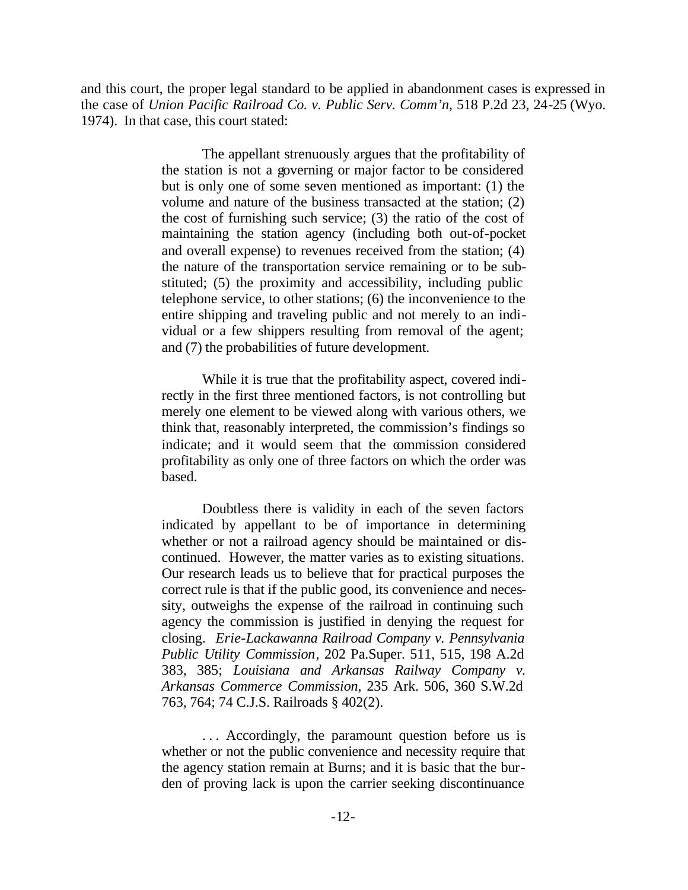and this court, the proper legal standard to be applied in abandonment cases is expressed in the case of *Union Pacific Railroad Co. v. Public Serv. Comm'n*, 518 P.2d 23, 24-25 (Wyo. 1974). In that case, this court stated:

> The appellant strenuously argues that the profitability of the station is not a governing or major factor to be considered but is only one of some seven mentioned as important: (1) the volume and nature of the business transacted at the station; (2) the cost of furnishing such service; (3) the ratio of the cost of maintaining the station agency (including both out-of-pocket and overall expense) to revenues received from the station; (4) the nature of the transportation service remaining or to be substituted; (5) the proximity and accessibility, including public telephone service, to other stations; (6) the inconvenience to the entire shipping and traveling public and not merely to an individual or a few shippers resulting from removal of the agent; and (7) the probabilities of future development.

> While it is true that the profitability aspect, covered indirectly in the first three mentioned factors, is not controlling but merely one element to be viewed along with various others, we think that, reasonably interpreted, the commission's findings so indicate; and it would seem that the commission considered profitability as only one of three factors on which the order was based.

> Doubtless there is validity in each of the seven factors indicated by appellant to be of importance in determining whether or not a railroad agency should be maintained or discontinued. However, the matter varies as to existing situations. Our research leads us to believe that for practical purposes the correct rule is that if the public good, its convenience and necessity, outweighs the expense of the railroad in continuing such agency the commission is justified in denying the request for closing. *Erie-Lackawanna Railroad Company v. Pennsylvania Public Utility Commission*, 202 Pa.Super. 511, 515, 198 A.2d 383, 385; *Louisiana and Arkansas Railway Company v. Arkansas Commerce Commission*, 235 Ark. 506, 360 S.W.2d 763, 764; 74 C.J.S. Railroads § 402(2).

> ... Accordingly, the paramount question before us is whether or not the public convenience and necessity require that the agency station remain at Burns; and it is basic that the burden of proving lack is upon the carrier seeking discontinuance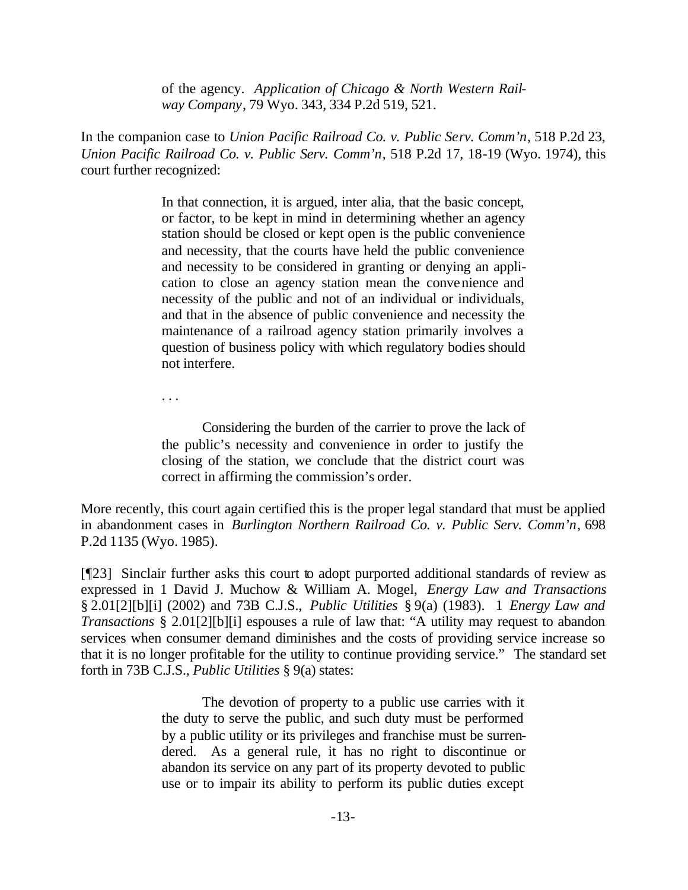of the agency. *Application of Chicago & North Western Railway Company*, 79 Wyo. 343, 334 P.2d 519, 521.

In the companion case to *Union Pacific Railroad Co. v. Public Serv. Comm'n*, 518 P.2d 23, *Union Pacific Railroad Co. v. Public Serv. Comm'n*, 518 P.2d 17, 18-19 (Wyo. 1974), this court further recognized:

> In that connection, it is argued, inter alia, that the basic concept, or factor, to be kept in mind in determining whether an agency station should be closed or kept open is the public convenience and necessity, that the courts have held the public convenience and necessity to be considered in granting or denying an application to close an agency station mean the convenience and necessity of the public and not of an individual or individuals, and that in the absence of public convenience and necessity the maintenance of a railroad agency station primarily involves a question of business policy with which regulatory bodies should not interfere.

. . .

Considering the burden of the carrier to prove the lack of the public's necessity and convenience in order to justify the closing of the station, we conclude that the district court was correct in affirming the commission's order.

More recently, this court again certified this is the proper legal standard that must be applied in abandonment cases in *Burlington Northern Railroad Co. v. Public Serv. Comm'n*, 698 P.2d 1135 (Wyo. 1985).

[¶23] Sinclair further asks this court to adopt purported additional standards of review as expressed in 1 David J. Muchow & William A. Mogel, *Energy Law and Transactions* § 2.01[2][b][i] (2002) and 73B C.J.S., *Public Utilities* § 9(a) (1983). 1 *Energy Law and Transactions* § 2.01[2][b][i] espouses a rule of law that: "A utility may request to abandon services when consumer demand diminishes and the costs of providing service increase so that it is no longer profitable for the utility to continue providing service." The standard set forth in 73B C.J.S., *Public Utilities* § 9(a) states:

> The devotion of property to a public use carries with it the duty to serve the public, and such duty must be performed by a public utility or its privileges and franchise must be surrendered. As a general rule, it has no right to discontinue or abandon its service on any part of its property devoted to public use or to impair its ability to perform its public duties except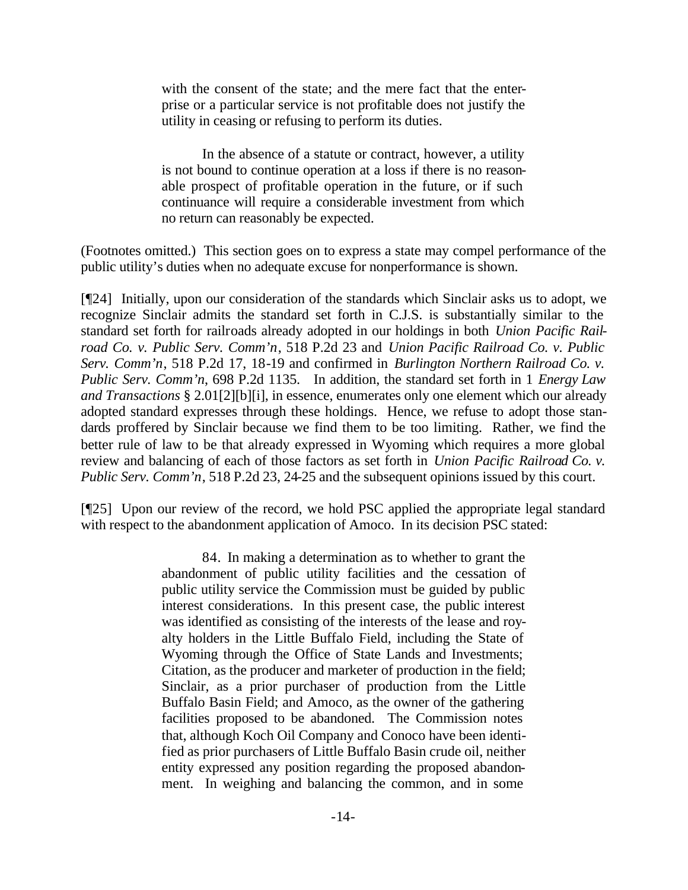with the consent of the state; and the mere fact that the enterprise or a particular service is not profitable does not justify the utility in ceasing or refusing to perform its duties.

In the absence of a statute or contract, however, a utility is not bound to continue operation at a loss if there is no reasonable prospect of profitable operation in the future, or if such continuance will require a considerable investment from which no return can reasonably be expected.

(Footnotes omitted.) This section goes on to express a state may compel performance of the public utility's duties when no adequate excuse for nonperformance is shown.

[¶24] Initially, upon our consideration of the standards which Sinclair asks us to adopt, we recognize Sinclair admits the standard set forth in C.J.S. is substantially similar to the standard set forth for railroads already adopted in our holdings in both *Union Pacific Railroad Co. v. Public Serv. Comm'n*, 518 P.2d 23 and *Union Pacific Railroad Co. v. Public Serv. Comm'n*, 518 P.2d 17, 18-19 and confirmed in *Burlington Northern Railroad Co. v. Public Serv. Comm'n*, 698 P.2d 1135. In addition, the standard set forth in 1 *Energy Law and Transactions* § 2.01[2][b][i], in essence, enumerates only one element which our already adopted standard expresses through these holdings. Hence, we refuse to adopt those standards proffered by Sinclair because we find them to be too limiting. Rather, we find the better rule of law to be that already expressed in Wyoming which requires a more global review and balancing of each of those factors as set forth in *Union Pacific Railroad Co. v. Public Serv. Comm'n*, 518 P.2d 23, 24-25 and the subsequent opinions issued by this court.

[¶25] Upon our review of the record, we hold PSC applied the appropriate legal standard with respect to the abandonment application of Amoco. In its decision PSC stated:

> 84. In making a determination as to whether to grant the abandonment of public utility facilities and the cessation of public utility service the Commission must be guided by public interest considerations. In this present case, the public interest was identified as consisting of the interests of the lease and royalty holders in the Little Buffalo Field, including the State of Wyoming through the Office of State Lands and Investments; Citation, as the producer and marketer of production in the field; Sinclair, as a prior purchaser of production from the Little Buffalo Basin Field; and Amoco, as the owner of the gathering facilities proposed to be abandoned. The Commission notes that, although Koch Oil Company and Conoco have been identified as prior purchasers of Little Buffalo Basin crude oil, neither entity expressed any position regarding the proposed abandonment. In weighing and balancing the common, and in some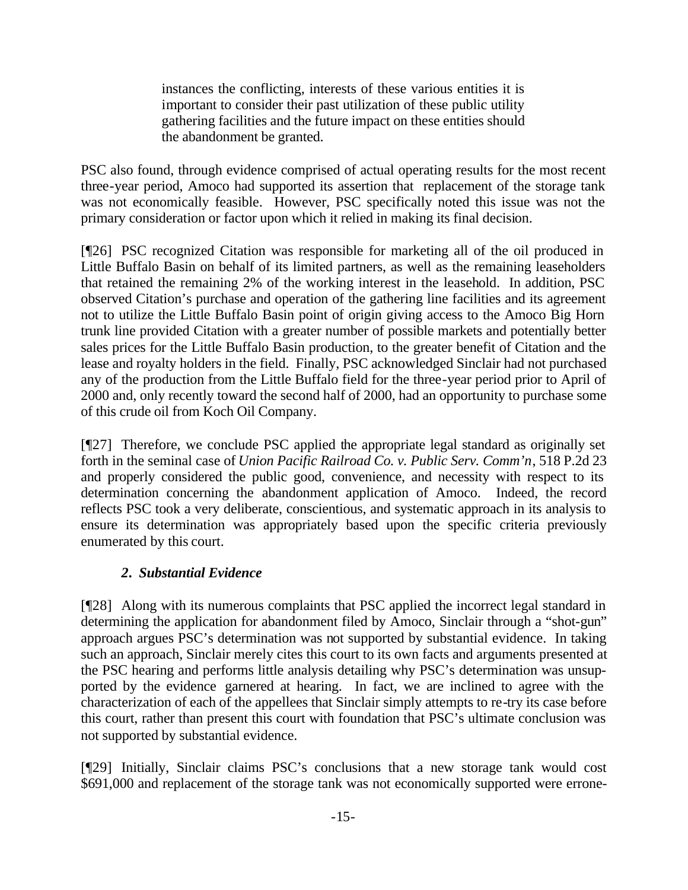instances the conflicting, interests of these various entities it is important to consider their past utilization of these public utility gathering facilities and the future impact on these entities should the abandonment be granted.

PSC also found, through evidence comprised of actual operating results for the most recent three-year period, Amoco had supported its assertion that replacement of the storage tank was not economically feasible. However, PSC specifically noted this issue was not the primary consideration or factor upon which it relied in making its final decision.

[¶26] PSC recognized Citation was responsible for marketing all of the oil produced in Little Buffalo Basin on behalf of its limited partners, as well as the remaining leaseholders that retained the remaining 2% of the working interest in the leasehold. In addition, PSC observed Citation's purchase and operation of the gathering line facilities and its agreement not to utilize the Little Buffalo Basin point of origin giving access to the Amoco Big Horn trunk line provided Citation with a greater number of possible markets and potentially better sales prices for the Little Buffalo Basin production, to the greater benefit of Citation and the lease and royalty holders in the field. Finally, PSC acknowledged Sinclair had not purchased any of the production from the Little Buffalo field for the three-year period prior to April of 2000 and, only recently toward the second half of 2000, had an opportunity to purchase some of this crude oil from Koch Oil Company.

[¶27] Therefore, we conclude PSC applied the appropriate legal standard as originally set forth in the seminal case of *Union Pacific Railroad Co. v. Public Serv. Comm'n*, 518 P.2d 23 and properly considered the public good, convenience, and necessity with respect to its determination concerning the abandonment application of Amoco. Indeed, the record reflects PSC took a very deliberate, conscientious, and systematic approach in its analysis to ensure its determination was appropriately based upon the specific criteria previously enumerated by this court.

# *2. Substantial Evidence*

[¶28] Along with its numerous complaints that PSC applied the incorrect legal standard in determining the application for abandonment filed by Amoco, Sinclair through a "shot-gun" approach argues PSC's determination was not supported by substantial evidence. In taking such an approach, Sinclair merely cites this court to its own facts and arguments presented at the PSC hearing and performs little analysis detailing why PSC's determination was unsupported by the evidence garnered at hearing. In fact, we are inclined to agree with the characterization of each of the appellees that Sinclair simply attempts to re-try its case before this court, rather than present this court with foundation that PSC's ultimate conclusion was not supported by substantial evidence.

[¶29] Initially, Sinclair claims PSC's conclusions that a new storage tank would cost \$691,000 and replacement of the storage tank was not economically supported were errone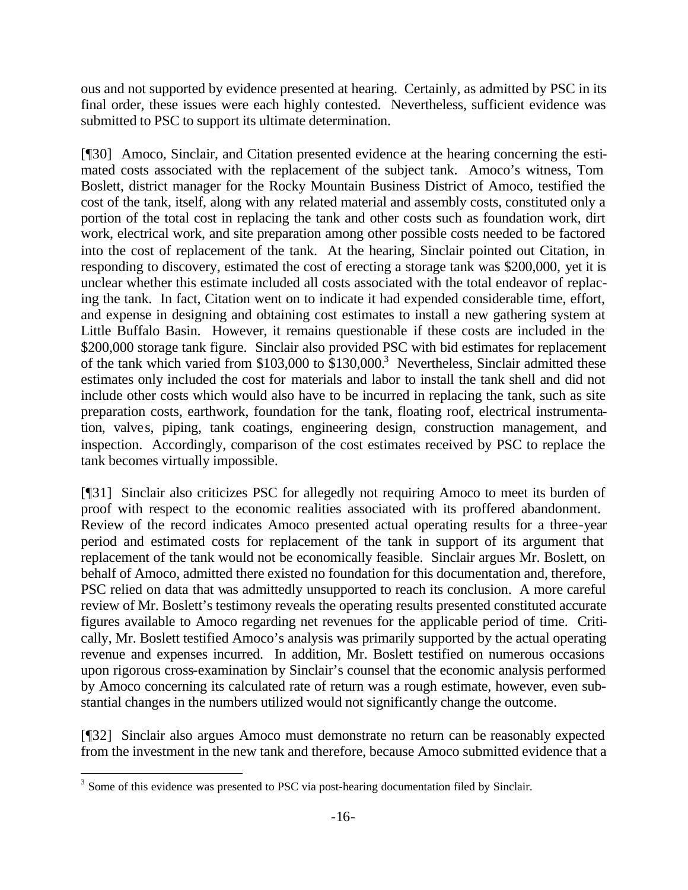ous and not supported by evidence presented at hearing. Certainly, as admitted by PSC in its final order, these issues were each highly contested. Nevertheless, sufficient evidence was submitted to PSC to support its ultimate determination.

[¶30] Amoco, Sinclair, and Citation presented evidence at the hearing concerning the estimated costs associated with the replacement of the subject tank. Amoco's witness, Tom Boslett, district manager for the Rocky Mountain Business District of Amoco, testified the cost of the tank, itself, along with any related material and assembly costs, constituted only a portion of the total cost in replacing the tank and other costs such as foundation work, dirt work, electrical work, and site preparation among other possible costs needed to be factored into the cost of replacement of the tank. At the hearing, Sinclair pointed out Citation, in responding to discovery, estimated the cost of erecting a storage tank was \$200,000, yet it is unclear whether this estimate included all costs associated with the total endeavor of replacing the tank. In fact, Citation went on to indicate it had expended considerable time, effort, and expense in designing and obtaining cost estimates to install a new gathering system at Little Buffalo Basin. However, it remains questionable if these costs are included in the \$200,000 storage tank figure. Sinclair also provided PSC with bid estimates for replacement of the tank which varied from \$103,000 to  $$130,000$ .<sup>3</sup> Nevertheless, Sinclair admitted these estimates only included the cost for materials and labor to install the tank shell and did not include other costs which would also have to be incurred in replacing the tank, such as site preparation costs, earthwork, foundation for the tank, floating roof, electrical instrumentation, valves, piping, tank coatings, engineering design, construction management, and inspection. Accordingly, comparison of the cost estimates received by PSC to replace the tank becomes virtually impossible.

[¶31] Sinclair also criticizes PSC for allegedly not requiring Amoco to meet its burden of proof with respect to the economic realities associated with its proffered abandonment. Review of the record indicates Amoco presented actual operating results for a three-year period and estimated costs for replacement of the tank in support of its argument that replacement of the tank would not be economically feasible. Sinclair argues Mr. Boslett, on behalf of Amoco, admitted there existed no foundation for this documentation and, therefore, PSC relied on data that was admittedly unsupported to reach its conclusion. A more careful review of Mr. Boslett's testimony reveals the operating results presented constituted accurate figures available to Amoco regarding net revenues for the applicable period of time. Critically, Mr. Boslett testified Amoco's analysis was primarily supported by the actual operating revenue and expenses incurred. In addition, Mr. Boslett testified on numerous occasions upon rigorous cross-examination by Sinclair's counsel that the economic analysis performed by Amoco concerning its calculated rate of return was a rough estimate, however, even substantial changes in the numbers utilized would not significantly change the outcome.

[¶32] Sinclair also argues Amoco must demonstrate no return can be reasonably expected from the investment in the new tank and therefore, because Amoco submitted evidence that a

<sup>&</sup>lt;sup>3</sup> Some of this evidence was presented to PSC via post-hearing documentation filed by Sinclair.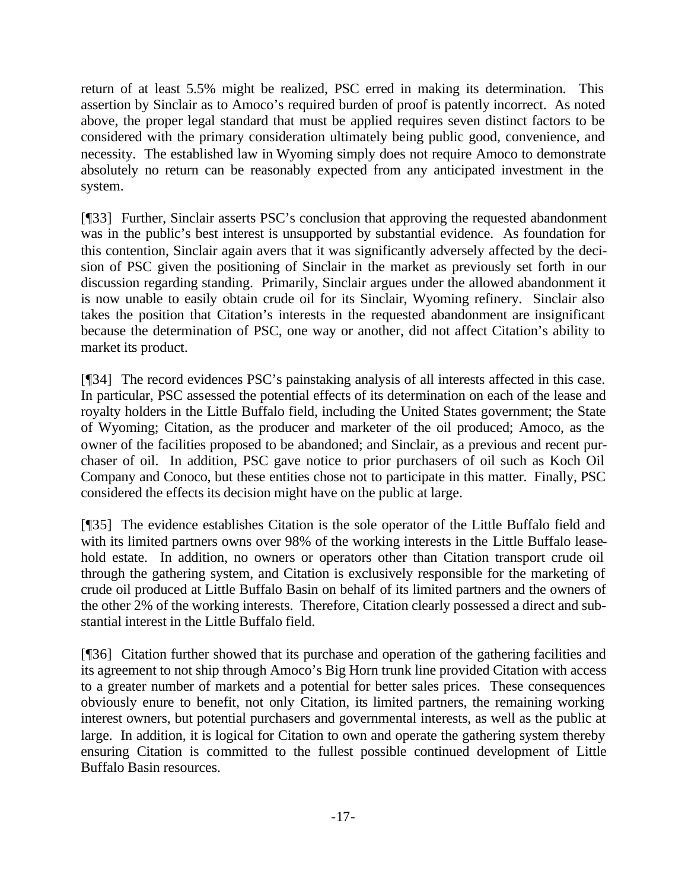return of at least 5.5% might be realized, PSC erred in making its determination. This assertion by Sinclair as to Amoco's required burden of proof is patently incorrect. As noted above, the proper legal standard that must be applied requires seven distinct factors to be considered with the primary consideration ultimately being public good, convenience, and necessity. The established law in Wyoming simply does not require Amoco to demonstrate absolutely no return can be reasonably expected from any anticipated investment in the system.

[¶33] Further, Sinclair asserts PSC's conclusion that approving the requested abandonment was in the public's best interest is unsupported by substantial evidence. As foundation for this contention, Sinclair again avers that it was significantly adversely affected by the decision of PSC given the positioning of Sinclair in the market as previously set forth in our discussion regarding standing. Primarily, Sinclair argues under the allowed abandonment it is now unable to easily obtain crude oil for its Sinclair, Wyoming refinery. Sinclair also takes the position that Citation's interests in the requested abandonment are insignificant because the determination of PSC, one way or another, did not affect Citation's ability to market its product.

[¶34] The record evidences PSC's painstaking analysis of all interests affected in this case. In particular, PSC assessed the potential effects of its determination on each of the lease and royalty holders in the Little Buffalo field, including the United States government; the State of Wyoming; Citation, as the producer and marketer of the oil produced; Amoco, as the owner of the facilities proposed to be abandoned; and Sinclair, as a previous and recent purchaser of oil. In addition, PSC gave notice to prior purchasers of oil such as Koch Oil Company and Conoco, but these entities chose not to participate in this matter. Finally, PSC considered the effects its decision might have on the public at large.

[¶35] The evidence establishes Citation is the sole operator of the Little Buffalo field and with its limited partners owns over 98% of the working interests in the Little Buffalo leasehold estate. In addition, no owners or operators other than Citation transport crude oil through the gathering system, and Citation is exclusively responsible for the marketing of crude oil produced at Little Buffalo Basin on behalf of its limited partners and the owners of the other 2% of the working interests. Therefore, Citation clearly possessed a direct and substantial interest in the Little Buffalo field.

[¶36] Citation further showed that its purchase and operation of the gathering facilities and its agreement to not ship through Amoco's Big Horn trunk line provided Citation with access to a greater number of markets and a potential for better sales prices. These consequences obviously enure to benefit, not only Citation, its limited partners, the remaining working interest owners, but potential purchasers and governmental interests, as well as the public at large. In addition, it is logical for Citation to own and operate the gathering system thereby ensuring Citation is committed to the fullest possible continued development of Little Buffalo Basin resources.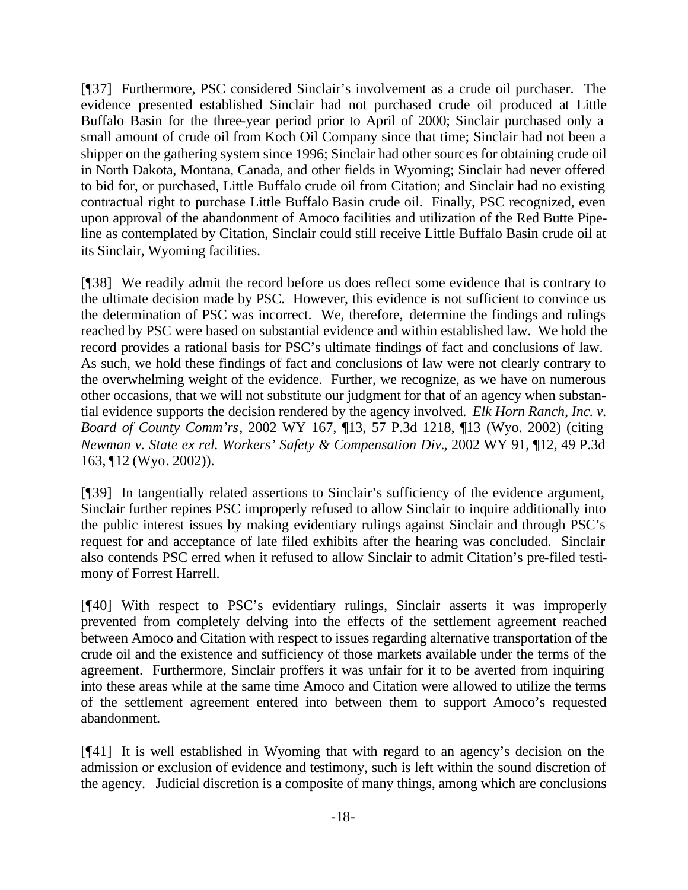[¶37] Furthermore, PSC considered Sinclair's involvement as a crude oil purchaser. The evidence presented established Sinclair had not purchased crude oil produced at Little Buffalo Basin for the three-year period prior to April of 2000; Sinclair purchased only a small amount of crude oil from Koch Oil Company since that time; Sinclair had not been a shipper on the gathering system since 1996; Sinclair had other sources for obtaining crude oil in North Dakota, Montana, Canada, and other fields in Wyoming; Sinclair had never offered to bid for, or purchased, Little Buffalo crude oil from Citation; and Sinclair had no existing contractual right to purchase Little Buffalo Basin crude oil. Finally, PSC recognized, even upon approval of the abandonment of Amoco facilities and utilization of the Red Butte Pipeline as contemplated by Citation, Sinclair could still receive Little Buffalo Basin crude oil at its Sinclair, Wyoming facilities.

[¶38] We readily admit the record before us does reflect some evidence that is contrary to the ultimate decision made by PSC. However, this evidence is not sufficient to convince us the determination of PSC was incorrect. We, therefore, determine the findings and rulings reached by PSC were based on substantial evidence and within established law. We hold the record provides a rational basis for PSC's ultimate findings of fact and conclusions of law. As such, we hold these findings of fact and conclusions of law were not clearly contrary to the overwhelming weight of the evidence. Further, we recognize, as we have on numerous other occasions, that we will not substitute our judgment for that of an agency when substantial evidence supports the decision rendered by the agency involved. *Elk Horn Ranch, Inc. v. Board of County Comm'rs*, 2002 WY 167, ¶13, 57 P.3d 1218, ¶13 (Wyo. 2002) (citing *Newman v. State ex rel. Workers' Safety & Compensation Div.*, 2002 WY 91, ¶12, 49 P.3d 163, ¶12 (Wyo. 2002)).

[¶39] In tangentially related assertions to Sinclair's sufficiency of the evidence argument, Sinclair further repines PSC improperly refused to allow Sinclair to inquire additionally into the public interest issues by making evidentiary rulings against Sinclair and through PSC's request for and acceptance of late filed exhibits after the hearing was concluded. Sinclair also contends PSC erred when it refused to allow Sinclair to admit Citation's pre-filed testimony of Forrest Harrell.

[¶40] With respect to PSC's evidentiary rulings, Sinclair asserts it was improperly prevented from completely delving into the effects of the settlement agreement reached between Amoco and Citation with respect to issues regarding alternative transportation of the crude oil and the existence and sufficiency of those markets available under the terms of the agreement. Furthermore, Sinclair proffers it was unfair for it to be averted from inquiring into these areas while at the same time Amoco and Citation were allowed to utilize the terms of the settlement agreement entered into between them to support Amoco's requested abandonment.

[¶41] It is well established in Wyoming that with regard to an agency's decision on the admission or exclusion of evidence and testimony, such is left within the sound discretion of the agency. Judicial discretion is a composite of many things, among which are conclusions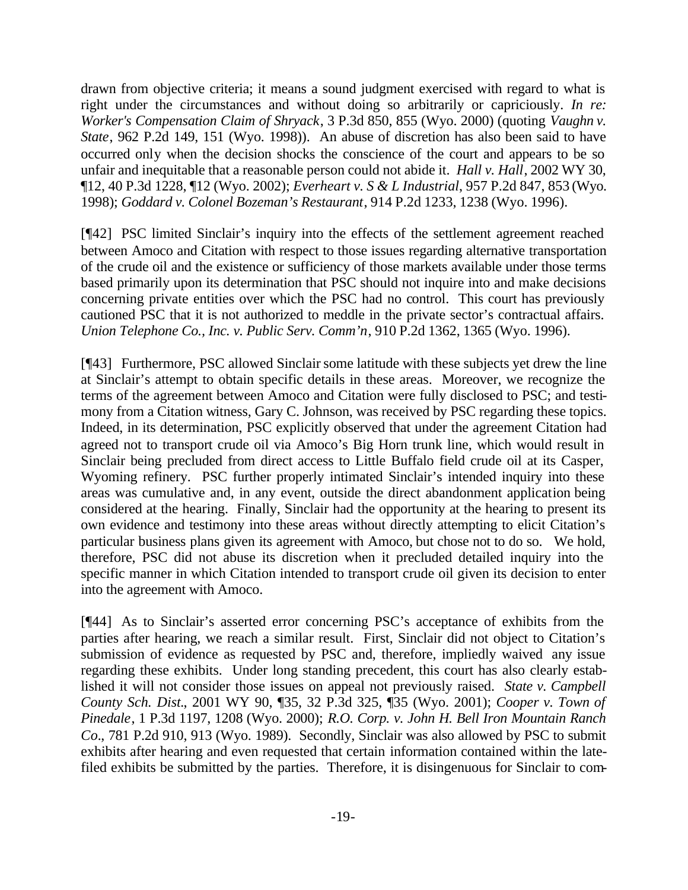drawn from objective criteria; it means a sound judgment exercised with regard to what is right under the circumstances and without doing so arbitrarily or capriciously. *In re: Worker's Compensation Claim of Shryack*, 3 P.3d 850, 855 (Wyo. 2000) (quoting *Vaughn v. State*, 962 P.2d 149, 151 (Wyo. 1998)). An abuse of discretion has also been said to have occurred only when the decision shocks the conscience of the court and appears to be so unfair and inequitable that a reasonable person could not abide it. *Hall v. Hall*, 2002 WY 30, ¶12, 40 P.3d 1228, ¶12 (Wyo. 2002); *Everheart v. S & L Industrial*, 957 P.2d 847, 853 (Wyo. 1998); *Goddard v. Colonel Bozeman's Restaurant*, 914 P.2d 1233, 1238 (Wyo. 1996).

[¶42] PSC limited Sinclair's inquiry into the effects of the settlement agreement reached between Amoco and Citation with respect to those issues regarding alternative transportation of the crude oil and the existence or sufficiency of those markets available under those terms based primarily upon its determination that PSC should not inquire into and make decisions concerning private entities over which the PSC had no control. This court has previously cautioned PSC that it is not authorized to meddle in the private sector's contractual affairs. *Union Telephone Co., Inc. v. Public Serv. Comm'n*, 910 P.2d 1362, 1365 (Wyo. 1996).

[¶43] Furthermore, PSC allowed Sinclair some latitude with these subjects yet drew the line at Sinclair's attempt to obtain specific details in these areas. Moreover, we recognize the terms of the agreement between Amoco and Citation were fully disclosed to PSC; and testimony from a Citation witness, Gary C. Johnson, was received by PSC regarding these topics. Indeed, in its determination, PSC explicitly observed that under the agreement Citation had agreed not to transport crude oil via Amoco's Big Horn trunk line, which would result in Sinclair being precluded from direct access to Little Buffalo field crude oil at its Casper, Wyoming refinery. PSC further properly intimated Sinclair's intended inquiry into these areas was cumulative and, in any event, outside the direct abandonment application being considered at the hearing. Finally, Sinclair had the opportunity at the hearing to present its own evidence and testimony into these areas without directly attempting to elicit Citation's particular business plans given its agreement with Amoco, but chose not to do so. We hold, therefore, PSC did not abuse its discretion when it precluded detailed inquiry into the specific manner in which Citation intended to transport crude oil given its decision to enter into the agreement with Amoco.

[¶44] As to Sinclair's asserted error concerning PSC's acceptance of exhibits from the parties after hearing, we reach a similar result. First, Sinclair did not object to Citation's submission of evidence as requested by PSC and, therefore, impliedly waived any issue regarding these exhibits. Under long standing precedent, this court has also clearly established it will not consider those issues on appeal not previously raised. *State v. Campbell County Sch. Dist.*, 2001 WY 90, ¶35, 32 P.3d 325, ¶35 (Wyo. 2001); *Cooper v. Town of Pinedale*, 1 P.3d 1197, 1208 (Wyo. 2000); *R.O. Corp. v. John H. Bell Iron Mountain Ranch Co.*, 781 P.2d 910, 913 (Wyo. 1989). Secondly, Sinclair was also allowed by PSC to submit exhibits after hearing and even requested that certain information contained within the latefiled exhibits be submitted by the parties. Therefore, it is disingenuous for Sinclair to com-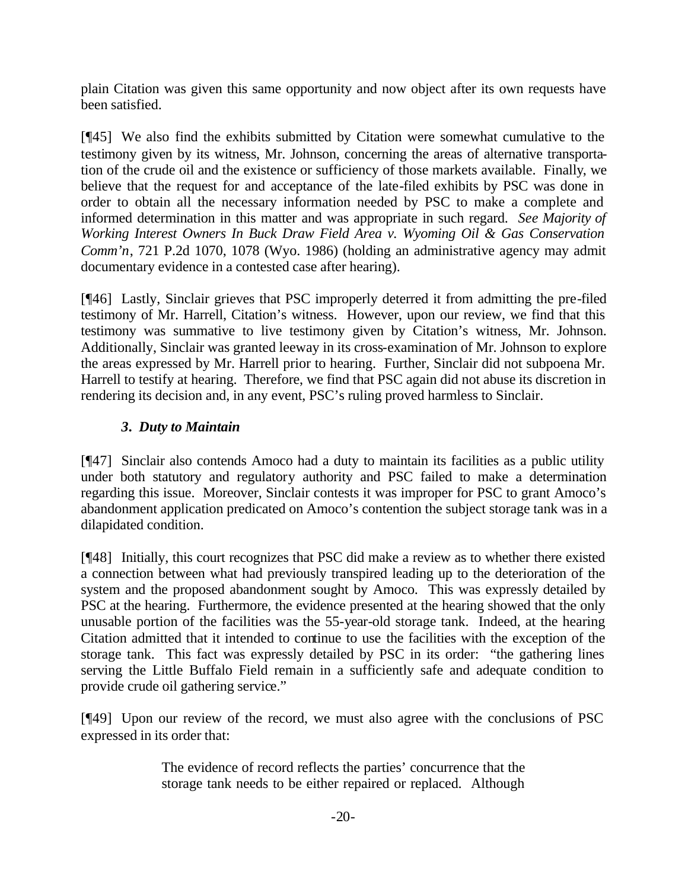plain Citation was given this same opportunity and now object after its own requests have been satisfied.

[¶45] We also find the exhibits submitted by Citation were somewhat cumulative to the testimony given by its witness, Mr. Johnson, concerning the areas of alternative transportation of the crude oil and the existence or sufficiency of those markets available. Finally, we believe that the request for and acceptance of the late-filed exhibits by PSC was done in order to obtain all the necessary information needed by PSC to make a complete and informed determination in this matter and was appropriate in such regard. *See Majority of Working Interest Owners In Buck Draw Field Area v. Wyoming Oil & Gas Conservation Comm'n*, 721 P.2d 1070, 1078 (Wyo. 1986) (holding an administrative agency may admit documentary evidence in a contested case after hearing).

[¶46] Lastly, Sinclair grieves that PSC improperly deterred it from admitting the pre-filed testimony of Mr. Harrell, Citation's witness. However, upon our review, we find that this testimony was summative to live testimony given by Citation's witness, Mr. Johnson. Additionally, Sinclair was granted leeway in its cross-examination of Mr. Johnson to explore the areas expressed by Mr. Harrell prior to hearing. Further, Sinclair did not subpoena Mr. Harrell to testify at hearing. Therefore, we find that PSC again did not abuse its discretion in rendering its decision and, in any event, PSC's ruling proved harmless to Sinclair.

# *3. Duty to Maintain*

[¶47] Sinclair also contends Amoco had a duty to maintain its facilities as a public utility under both statutory and regulatory authority and PSC failed to make a determination regarding this issue. Moreover, Sinclair contests it was improper for PSC to grant Amoco's abandonment application predicated on Amoco's contention the subject storage tank was in a dilapidated condition.

[¶48] Initially, this court recognizes that PSC did make a review as to whether there existed a connection between what had previously transpired leading up to the deterioration of the system and the proposed abandonment sought by Amoco. This was expressly detailed by PSC at the hearing. Furthermore, the evidence presented at the hearing showed that the only unusable portion of the facilities was the 55-year-old storage tank. Indeed, at the hearing Citation admitted that it intended to continue to use the facilities with the exception of the storage tank. This fact was expressly detailed by PSC in its order: "the gathering lines serving the Little Buffalo Field remain in a sufficiently safe and adequate condition to provide crude oil gathering service."

[¶49] Upon our review of the record, we must also agree with the conclusions of PSC expressed in its order that:

> The evidence of record reflects the parties' concurrence that the storage tank needs to be either repaired or replaced. Although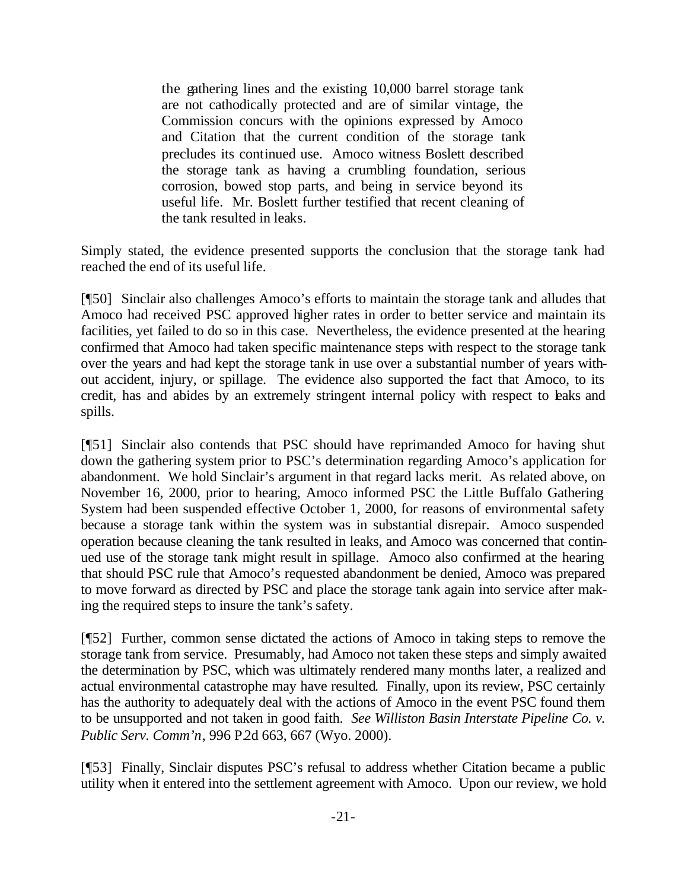the gathering lines and the existing 10,000 barrel storage tank are not cathodically protected and are of similar vintage, the Commission concurs with the opinions expressed by Amoco and Citation that the current condition of the storage tank precludes its continued use. Amoco witness Boslett described the storage tank as having a crumbling foundation, serious corrosion, bowed stop parts, and being in service beyond its useful life. Mr. Boslett further testified that recent cleaning of the tank resulted in leaks.

Simply stated, the evidence presented supports the conclusion that the storage tank had reached the end of its useful life.

[¶50] Sinclair also challenges Amoco's efforts to maintain the storage tank and alludes that Amoco had received PSC approved higher rates in order to better service and maintain its facilities, yet failed to do so in this case. Nevertheless, the evidence presented at the hearing confirmed that Amoco had taken specific maintenance steps with respect to the storage tank over the years and had kept the storage tank in use over a substantial number of years without accident, injury, or spillage. The evidence also supported the fact that Amoco, to its credit, has and abides by an extremely stringent internal policy with respect to leaks and spills.

[¶51] Sinclair also contends that PSC should have reprimanded Amoco for having shut down the gathering system prior to PSC's determination regarding Amoco's application for abandonment. We hold Sinclair's argument in that regard lacks merit. As related above, on November 16, 2000, prior to hearing, Amoco informed PSC the Little Buffalo Gathering System had been suspended effective October 1, 2000, for reasons of environmental safety because a storage tank within the system was in substantial disrepair. Amoco suspended operation because cleaning the tank resulted in leaks, and Amoco was concerned that continued use of the storage tank might result in spillage. Amoco also confirmed at the hearing that should PSC rule that Amoco's requested abandonment be denied, Amoco was prepared to move forward as directed by PSC and place the storage tank again into service after making the required steps to insure the tank's safety.

[¶52] Further, common sense dictated the actions of Amoco in taking steps to remove the storage tank from service. Presumably, had Amoco not taken these steps and simply awaited the determination by PSC, which was ultimately rendered many months later, a realized and actual environmental catastrophe may have resulted. Finally, upon its review, PSC certainly has the authority to adequately deal with the actions of Amoco in the event PSC found them to be unsupported and not taken in good faith. *See Williston Basin Interstate Pipeline Co. v. Public Serv. Comm'n*, 996 P.2d 663, 667 (Wyo. 2000).

[¶53] Finally, Sinclair disputes PSC's refusal to address whether Citation became a public utility when it entered into the settlement agreement with Amoco. Upon our review, we hold